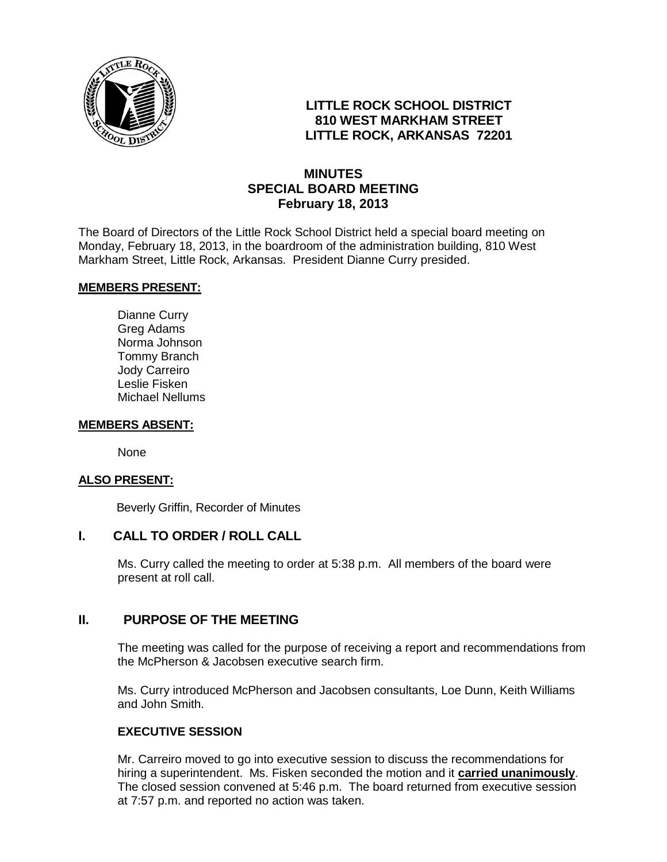

# **LITTLE ROCK SCHOOL DISTRICT 810 WEST MARKHAM STREET LITTLE ROCK, ARKANSAS 72201**

# **MINUTES SPECIAL BOARD MEETING February 18, 2013**

The Board of Directors of the Little Rock School District held a special board meeting on Monday, February 18, 2013, in the boardroom of the administration building, 810 West Markham Street, Little Rock, Arkansas. President Dianne Curry presided.

#### **MEMBERS PRESENT:**

Dianne Curry Greg Adams Norma Johnson Tommy Branch Jody Carreiro Leslie Fisken Michael Nellums

#### **MEMBERS ABSENT:**

None

## **ALSO PRESENT:**

Beverly Griffin, Recorder of Minutes

## **I. CALL TO ORDER / ROLL CALL**

Ms. Curry called the meeting to order at 5:38 p.m. All members of the board were present at roll call.

## **II. PURPOSE OF THE MEETING**

The meeting was called for the purpose of receiving a report and recommendations from the McPherson & Jacobsen executive search firm.

Ms. Curry introduced McPherson and Jacobsen consultants, Loe Dunn, Keith Williams and John Smith.

## **EXECUTIVE SESSION**

Mr. Carreiro moved to go into executive session to discuss the recommendations for hiring a superintendent. Ms. Fisken seconded the motion and it **carried unanimously**. The closed session convened at 5:46 p.m. The board returned from executive session at 7:57 p.m. and reported no action was taken.